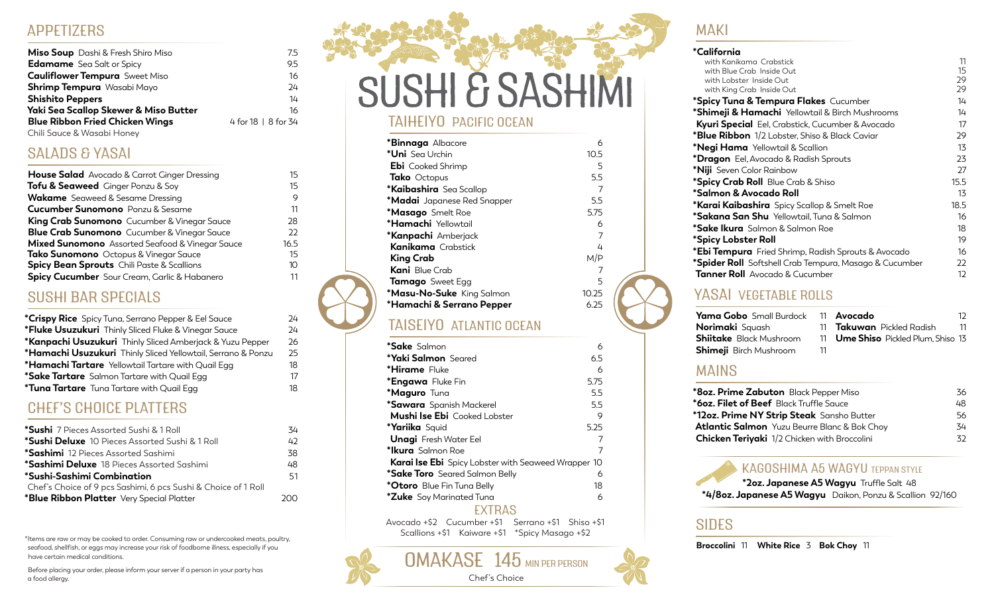#### APPETIZERS

| <b>Miso Soup</b> Dashi & Fresh Shiro Miso | 7.5                 |
|-------------------------------------------|---------------------|
| <b>Edamame</b> Sea Salt or Spicy          | 9.5                 |
| <b>Cauliflower Tempura</b> Sweet Miso     | 16                  |
| <b>Shrimp Tempura</b> Wasabi Mayo         | 24                  |
| <b>Shishito Peppers</b>                   | 14                  |
| Yaki Sea Scallop Skewer & Miso Butter     | 16                  |
| <b>Blue Ribbon Fried Chicken Wings</b>    | 4 for 18   8 for 34 |
| Chili Sauce & Wasabi Honey                |                     |

SALADS & YASAI

| <b>House Salad</b> Avocado & Carrot Ginger Dressing | 15   |
|-----------------------------------------------------|------|
| <b>Tofu &amp; Seaweed</b> Ginger Ponzu & Soy        | 15   |
| <b>Wakame</b> Seaweed & Sesame Dressing             | 9    |
| <b>Cucumber Sunomono</b> Ponzu & Sesame             | 11   |
| <b>King Crab Sunomono</b> Cucumber & Vinegar Sauce  | 28   |
| <b>Blue Crab Sunomono</b> Cucumber & Vinegar Sauce  | 22   |
| Mixed Sunomono Assorted Seafood & Vinegar Sauce     | 16.5 |
| Tako Sunomono Octopus & Vinegar Sauce               | 15   |
| <b>Spicy Bean Sprouts</b> Chili Paste & Scallions   | 10   |
| Spicy Cucumber Sour Cream, Garlic & Habanero        | 11   |

#### SUSHI BAR SPECIALS

| <b>*Crispy Rice</b> Spicy Tuna, Serrano Pepper & Eel Sauce   | 24  |
|--------------------------------------------------------------|-----|
| *Fluke Usuzukuri Thinly Sliced Fluke & Vinegar Sauce         | 24  |
| *Kanpachi Usuzukuri Thinly Sliced Amberjack & Yuzu Pepper    | 26  |
| *Hamachi Usuzukuri Thinly Sliced Yellowtail, Serrano & Ponzu | 25. |
| *Hamachi Tartare Yellowtail Tartare with Quail Egg           | 18. |
| <b>*Sake Tartare</b> Salmon Tartare with Quail Egg           | 17  |
| *Tuna Tartare Tuna Tartare with Quail Egg                    | 18  |

### CHEF'S CHOICE PLATTERS

| <b>*Sushi</b> 7 Pieces Assorted Sushi & 1 Roll                 | 34  |
|----------------------------------------------------------------|-----|
| <b>*Sushi Deluxe</b> 10 Pieces Assorted Sushi & 1 Roll         | 42  |
| *Sashimi 12 Pieces Assorted Sashimi                            | 38  |
| <b>*Sashimi Deluxe</b> 18 Pieces Assorted Sashimi              | 48  |
| *Sushi-Sashimi Combination                                     | 51  |
| Chef's Choice of 9 pcs Sashimi, 6 pcs Sushi & Choice of 1 Roll |     |
| *Blue Ribbon Platter Very Special Platter                      | ാററ |
|                                                                |     |

\*Items are raw or may be cooked to order. Consuming raw or undercooked meats, poultry,<br>seafood, shellfish, or eggs may increase your risk of foodborne illness, especially if you have certain medical conditions.

Before placing your order, please inform your server if a person in your party has a food allergy.

# SUSHI & SASHIMI TAIHEIYO PACIFIC OCEAN

| <b>*Binnaga</b> Albacore           | 6     |
|------------------------------------|-------|
| * <b>Uni</b> Sea Urchin            | 10.5  |
| <b>Ebi</b> Cooked Shrimp           | 5     |
| <b>Tako</b> Octopus                | 5.5   |
| *Kaibashira Sea Scallop            | 7     |
| <b>*Madai</b> Japanese Red Snapper | 5.5   |
| <b>*Masago</b> Smelt Roe           | 5.75  |
| <b>*Hamachi</b> Yellowtail         | 6     |
| <b>*Kanpachi</b> Amberjack         | 7     |
| <b>Kanikama</b> Crabstick          | 4     |
| King Crab                          | M/P   |
| <b>Kani</b> Blue Crab              |       |
| <b>Tamago</b> Sweet Egg            | 5     |
| *Masu-No-Suke King Salmon          | 10.25 |
| *Hamachi & Serrano Pepper          | 6.25  |
|                                    |       |

#### TAISEIYO ATLANTIC OCEAN

| <b>*Sake</b> Salmon                                        | 6    |
|------------------------------------------------------------|------|
| <b>*Yaki Salmon</b> Seared                                 | 6.5  |
| <b>*Hirame</b> Fluke                                       | 6    |
| <b>*Engawa</b> Fluke Fin                                   | 5.75 |
| *Maguro Tuna                                               | 5.5  |
| <b>*Sawara</b> Spanish Mackerel                            | 5.5  |
| <b>Mushi Ise Ebi</b> Cooked Lobster                        | 9    |
| <b>*Yariika</b> Squid                                      | 5.25 |
| <b>Unagi</b> Fresh Water Eel                               | 7    |
| <b>*Ikura</b> Salmon Roe                                   |      |
| <b>Karai Ise Ebi</b> Spicy Lobster with Seaweed Wrapper 10 |      |
| <b>*Sake Toro</b> Seared Salmon Belly                      | 6    |
| <b>*Otoro</b> Blue Fin Tuna Belly                          | 18   |
| <b>*Zuke</b> Soy Marinated Tuna                            | 6    |
| <b>LXTRAS</b>                                              |      |

Avocado +\$2 Cucumber +\$1 Serrano +\$1 Shiso +\$1 Scallions +\$1 Kaiware +\$1 \*Spicy Masago +\$2

OMAKASE 145 MIN PER PERSON Chef's Choice

### MAKI

| *California                                                   |      |
|---------------------------------------------------------------|------|
| with Kanikama Crabstick                                       | 11   |
| with Blue Crab Inside Out                                     | 15   |
| with Lobster Inside Out                                       | 29   |
| with King Crab Inside Out                                     | 29   |
| *Spicy Tuna & Tempura Flakes Cucumber                         | 14   |
| <b>*Shimeji &amp; Hamachi</b> Yellowtail & Birch Mushrooms    | 14   |
| <b>Kyuri Special</b> Eel, Crabstick, Cucumber & Avocado       | 17   |
| <b>*Blue Ribbon</b> 1/2 Lobster, Shiso & Black Caviar         | 29   |
| <b>*Negi Hama</b> Yellowtail & Scallion                       | 13   |
| <b>*Dragon</b> Eel, Avocado & Radish Sprouts                  | 23   |
| * <b>Niji</b> Seven Color Rainbow                             | 27   |
| <i>*Spicy Crab Roll Blue Crab &amp; Shiso</i>                 | 15.5 |
| *Salmon & Avocado Roll                                        | 13   |
| <b>*Karai Kaibashira</b> Spicy Scallop & Smelt Roe            | 18.5 |
| <b>*Sakana San Shu</b> Yellowtail, Tuna & Salmon              | 16   |
| <b>*Sake Ikura</b> Salmon & Salmon Roe                        | 18   |
| *Spicy Lobster Roll                                           | 19   |
| *Ebi Tempura Fried Shrimp, Radish Sprouts & Avocado           | 16   |
| <b>*Spider Roll</b> Softshell Crab Tempura, Masago & Cucumber | 22   |
| <b>Tanner Roll</b> Avocado & Cucumber                         | 12   |

#### YASAI VEGETABLE ROLLS

| <b>Yama Gobo</b> Small Burdock | 11 | A۱          |
|--------------------------------|----|-------------|
| <b>Norimaki</b> Sauash         |    | 11 $T_c$    |
| <b>Shiitake</b> Black Mushroom |    | 11 <b>U</b> |
| Shimeji Birch Mushroom         | 11 |             |

**Avocado** 12 **Takuwan** Pickled Radish 11

**me Shiso** Pickled Plum, Shiso 13

#### MAINS

| * <b>8oz. Prime Zabuton</b> Black Pepper Miso       | 36 |
|-----------------------------------------------------|----|
| <b>*6oz. Filet of Beef</b> Black Truffle Sauce      | 48 |
| *12oz. Prime NY Strip Steak Sansho Butter           | 56 |
| <b>Atlantic Salmon</b> Yuzu Beurre Blanc & Bok Choy | 34 |
| Chicken Teriyaki 1/2 Chicken with Broccolini        | 32 |
|                                                     |    |

#### KAGOSHIMA A5 WAGYU TEPPAN STYLE

**\*2oz. Japanese A5 Wagyu** Truffle Salt 48 **\*4/8oz. Japanese A5 Wagyu** Daikon, Ponzu & Scallion92/160

#### SIDES